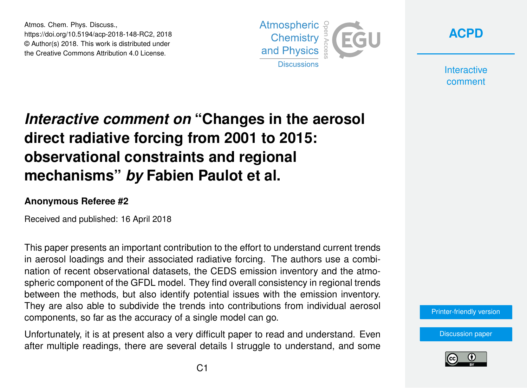Atmos. Chem. Phys. Discuss., https://doi.org/10.5194/acp-2018-148-RC2, 2018 © Author(s) 2018. This work is distributed under the Creative Commons Attribution 4.0 License.





**Interactive** comment

## *Interactive comment on* **"Changes in the aerosol direct radiative forcing from 2001 to 2015: observational constraints and regional mechanisms"** *by* **Fabien Paulot et al.**

## **Anonymous Referee #2**

Received and published: 16 April 2018

This paper presents an important contribution to the effort to understand current trends in aerosol loadings and their associated radiative forcing. The authors use a combination of recent observational datasets, the CEDS emission inventory and the atmospheric component of the GFDL model. They find overall consistency in regional trends between the methods, but also identify potential issues with the emission inventory. They are also able to subdivide the trends into contributions from individual aerosol components, so far as the accuracy of a single model can go.

Unfortunately, it is at present also a very difficult paper to read and understand. Even after multiple readings, there are several details I struggle to understand, and some [Printer-friendly version](https://www.atmos-chem-phys-discuss.net/acp-2018-148/acp-2018-148-RC2-print.pdf)

[Discussion paper](https://www.atmos-chem-phys-discuss.net/acp-2018-148)

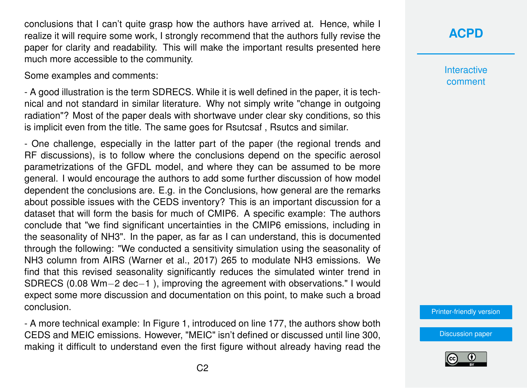conclusions that I can't quite grasp how the authors have arrived at. Hence, while I realize it will require some work, I strongly recommend that the authors fully revise the paper for clarity and readability. This will make the important results presented here much more accessible to the community.

Some examples and comments:

- A good illustration is the term SDRECS. While it is well defined in the paper, it is technical and not standard in similar literature. Why not simply write "change in outgoing radiation"? Most of the paper deals with shortwave under clear sky conditions, so this is implicit even from the title. The same goes for Rsutcsaf , Rsutcs and similar.

- One challenge, especially in the latter part of the paper (the regional trends and RF discussions), is to follow where the conclusions depend on the specific aerosol parametrizations of the GFDL model, and where they can be assumed to be more general. I would encourage the authors to add some further discussion of how model dependent the conclusions are. E.g. in the Conclusions, how general are the remarks about possible issues with the CEDS inventory? This is an important discussion for a dataset that will form the basis for much of CMIP6. A specific example: The authors conclude that "we find significant uncertainties in the CMIP6 emissions, including in the seasonality of NH3". In the paper, as far as I can understand, this is documented through the following: "We conducted a sensitivity simulation using the seasonality of NH3 column from AIRS (Warner et al., 2017) 265 to modulate NH3 emissions. We find that this revised seasonality significantly reduces the simulated winter trend in SDRECS (0.08 Wm−2 dec−1 ), improving the agreement with observations." I would expect some more discussion and documentation on this point, to make such a broad conclusion.

- A more technical example: In Figure 1, introduced on line 177, the authors show both CEDS and MEIC emissions. However, "MEIC" isn't defined or discussed until line 300, making it difficult to understand even the first figure without already having read the **[ACPD](https://www.atmos-chem-phys-discuss.net/)**

**Interactive** comment

[Printer-friendly version](https://www.atmos-chem-phys-discuss.net/acp-2018-148/acp-2018-148-RC2-print.pdf)

[Discussion paper](https://www.atmos-chem-phys-discuss.net/acp-2018-148)